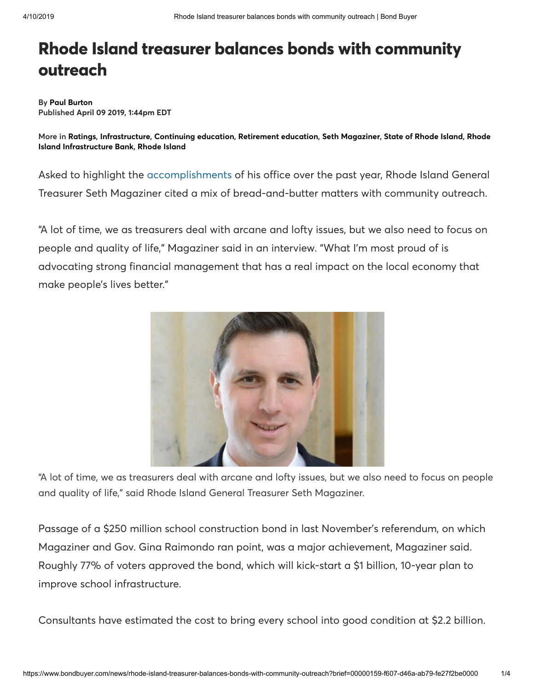## Rhode Island treasurer balances bonds with community outreach

By [Paul Burton](https://www.bondbuyer.com/author/paul-burton) Published April 09 2019, 1∶44pm EDT

More in [Ratings](https://www.bondbuyer.com/bonds-ratings), [Infrastructure](https://www.bondbuyer.com/tag/bonds-infrastructure), [Continuing education,](https://www.bondbuyer.com/tag/continuing-education) [Retirement education,](https://www.bondbuyer.com/tag/retirement-education) [Seth Magaziner,](https://www.bondbuyer.com/person/seth-magaziner) [State of Rhode Island,](https://www.bondbuyer.com/organization/state-of-rhode-island) Rhode [Island Infrastructure Bank,](https://www.bondbuyer.com/organization/rhode-island-infrastructure-bank) [Rhode Island](https://www.bondbuyer.com/location/rhode-island)

Asked to highlight the [accomplishments](https://d10k7k7mywg42z.cloudfront.net/assets/5c950a7f438fc3134c0ecbb3/RI_Treasury_2018_Annual_Report.pdf) of his office over the past year, Rhode Island General Treasurer Seth Magaziner cited a mix of bread-and-butter matters with community outreach.

"A lot of time, we as treasurers deal with arcane and lofty issues, but we also need to focus on people and quality of life," Magaziner said in an interview. "What I'm most proud of is advocating strong financial management that has a real impact on the local economy that make people's lives better."



"A lot of time, we as treasurers deal with arcane and lofty issues, but we also need to focus on people and quality of life," said Rhode Island General Treasurer Seth Magaziner.

Passage of a \$250 million school construction bond in last November's referendum, on which Magaziner and Gov. Gina Raimondo ran point, was a major achievement, Magaziner said. Roughly 77% of voters approved the bond, which will kick-start a \$1 billion, 10-year plan to improve school infrastructure.

Consultants have estimated the cost to bring every school into good condition at \$2.2 billion.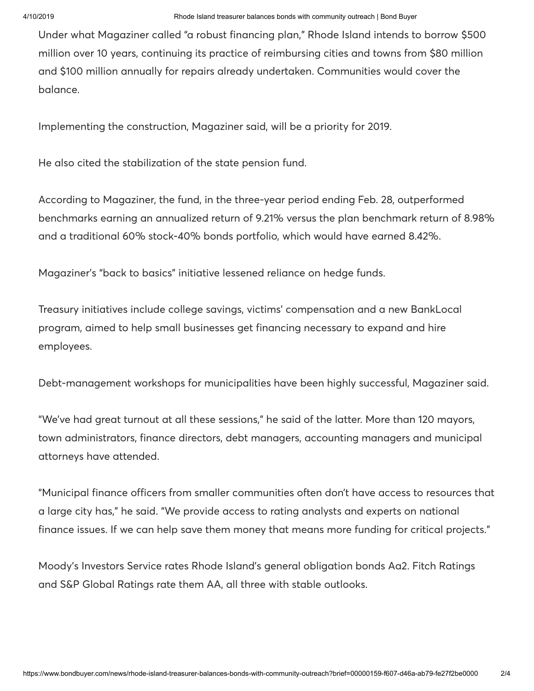Under what Magaziner called "a robust financing plan," Rhode Island intends to borrow \$500 million over 10 years, continuing its practice of reimbursing cities and towns from \$80 million and \$100 million annually for repairs already undertaken. Communities would cover the balance.

Implementing the construction, Magaziner said, will be a priority for 2019.

He also cited the stabilization of the state pension fund.

According to Magaziner, the fund, in the three-year period ending Feb. 28, outperformed benchmarks earning an annualized return of 9.21% versus the plan benchmark return of 8.98% and a traditional 60% stock-40% bonds portfolio, which would have earned 8.42%.

Magaziner's "back to basics" initiative lessened reliance on hedge funds.

Treasury initiatives include college savings, victims' compensation and a new BankLocal program, aimed to help small businesses get financing necessary to expand and hire employees.

Debt-management workshops for municipalities have been highly successful, Magaziner said.

"We've had great turnout at all these sessions," he said of the latter. More than 120 mayors, town administrators, finance directors, debt managers, accounting managers and municipal attorneys have attended.

"Municipal finance officers from smaller communities often don't have access to resources that a large city has," he said. "We provide access to rating analysts and experts on national finance issues. If we can help save them money that means more funding for critical projects."

Moody's Investors Service rates Rhode Island's general obligation bonds Aa2. Fitch Ratings and S&P Global Ratings rate them AA, all three with stable outlooks.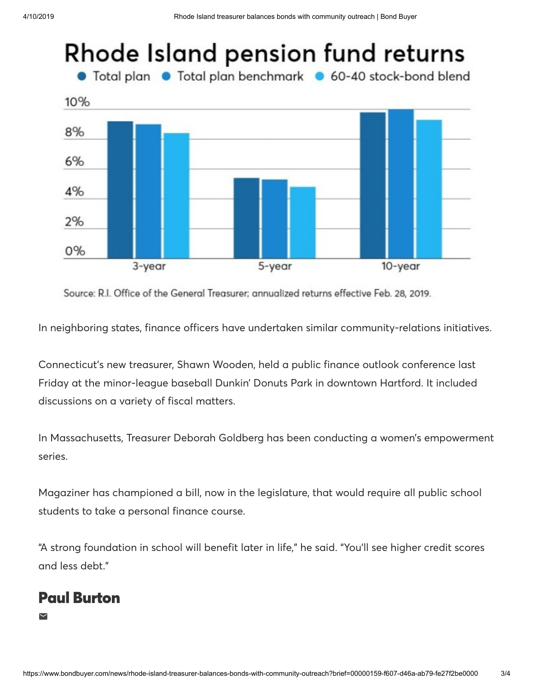

Source: R.I. Office of the General Treasurer; annualized returns effective Feb. 28, 2019.

In neighboring states, finance officers have undertaken similar community-relations initiatives.

Connecticut's new treasurer, Shawn Wooden, held a public finance outlook conference last Friday at the minor-league baseball Dunkin' Donuts Park in downtown Hartford. It included discussions on a variety of fiscal matters.

In Massachusetts, Treasurer Deborah Goldberg has been conducting a women's empowerment series.

Magaziner has championed a bill, now in the legislature, that would require all public school students to take a personal finance course.

"A strong foundation in school will benefit later in life," he said. "You'll see higher credit scores and less debt."

## Paul [Burton](https://www.bondbuyer.com/author/paul-burton)

 $\blacksquare$